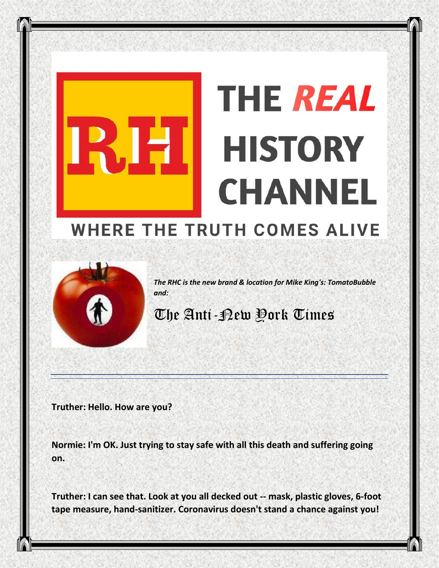## **THE REAL HISTORY** E **CHANNEL WHERE THE TRUTH COMES ALIVE**



*The RHC is the new brand & location for Mike King's: TomatoBubble and:*

## The Anti-New York Times

**Truther: Hello. How are you?**

**Normie: I'm OK. Just trying to stay safe with all this death and suffering going on.**

**Truther: I can see that. Look at you all decked out -- mask, plastic gloves, 6-foot tape measure, hand-sanitizer. Coronavirus doesn't stand a chance against you!**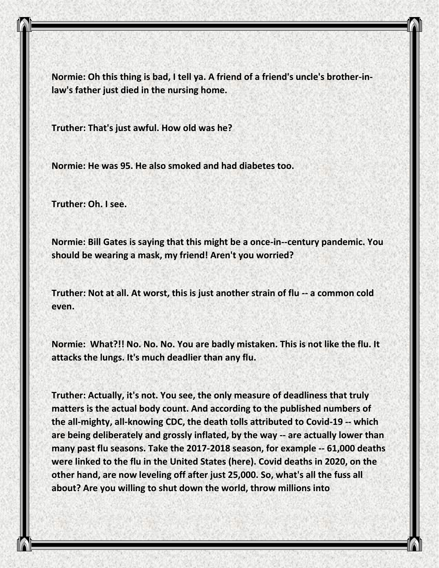**Normie: Oh this thing is bad, I tell ya. A friend of a friend's uncle's brother-inlaw's father just died in the nursing home.**

**Truther: That's just awful. How old was he?**

**Normie: He was 95. He also smoked and had diabetes too.**

**Truther: Oh. I see.**

**Normie: Bill Gates is saying that this might be a once-in--century pandemic. You should be wearing a mask, my friend! Aren't you worried?**

**Truther: Not at all. At worst, this is just another strain of flu -- a common cold even.**

**Normie: What?!! No. No. No. You are badly mistaken. This is not like the flu. It attacks the lungs. It's much deadlier than any flu.**

**Truther: Actually, it's not. You see, the only measure of deadliness that truly matters is the actual body count. And according to the published numbers of the all-mighty, all-knowing CDC, the death tolls attributed to Covid-19 -- which are being deliberately and grossly inflated, by the way -- are actually lower than many past flu seasons. Take the 2017-2018 season, for example -- 61,000 deaths were linked to the flu in the United States (here). Covid deaths in 2020, on the other hand, are now leveling off after just 25,000. So, what's all the fuss all about? Are you willing to shut down the world, throw millions into**